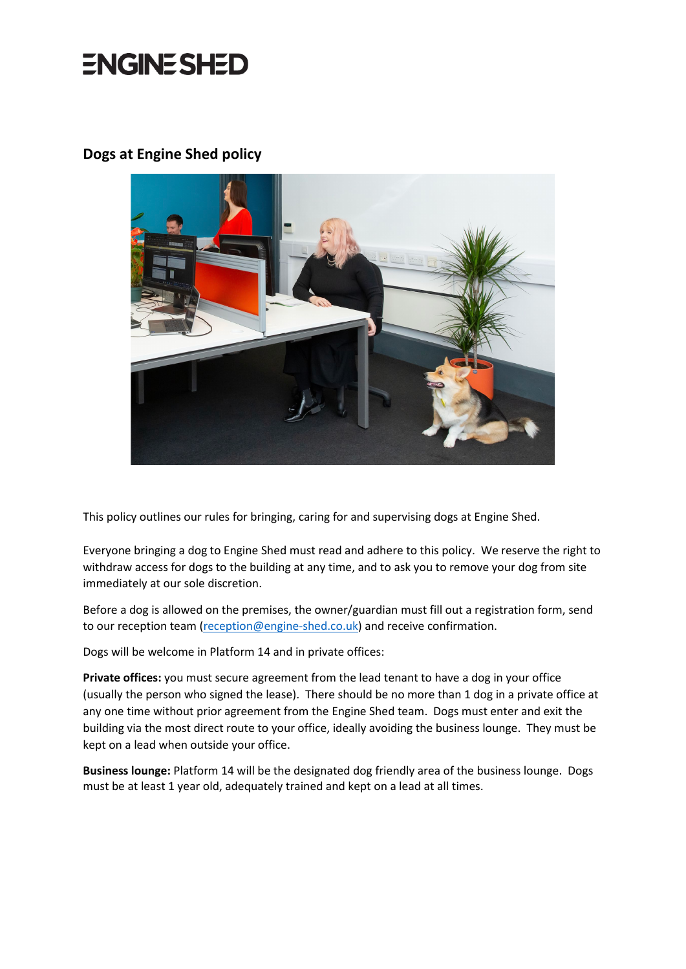## **ENGINE SHED**

#### **Dogs at Engine Shed policy**



This policy outlines our rules for bringing, caring for and supervising dogs at Engine Shed.

Everyone bringing a dog to Engine Shed must read and adhere to this policy. We reserve the right to withdraw access for dogs to the building at any time, and to ask you to remove your dog from site immediately at our sole discretion.

Before a dog is allowed on the premises, the owner/guardian must fill out a registration form, send to our reception team [\(reception@engine-shed.co.uk\)](mailto:reception@engine-shed.co.uk) and receive confirmation.

Dogs will be welcome in Platform 14 and in private offices:

**Private offices:** you must secure agreement from the lead tenant to have a dog in your office (usually the person who signed the lease). There should be no more than 1 dog in a private office at any one time without prior agreement from the Engine Shed team. Dogs must enter and exit the building via the most direct route to your office, ideally avoiding the business lounge. They must be kept on a lead when outside your office.

**Business lounge:** Platform 14 will be the designated dog friendly area of the business lounge. Dogs must be at least 1 year old, adequately trained and kept on a lead at all times.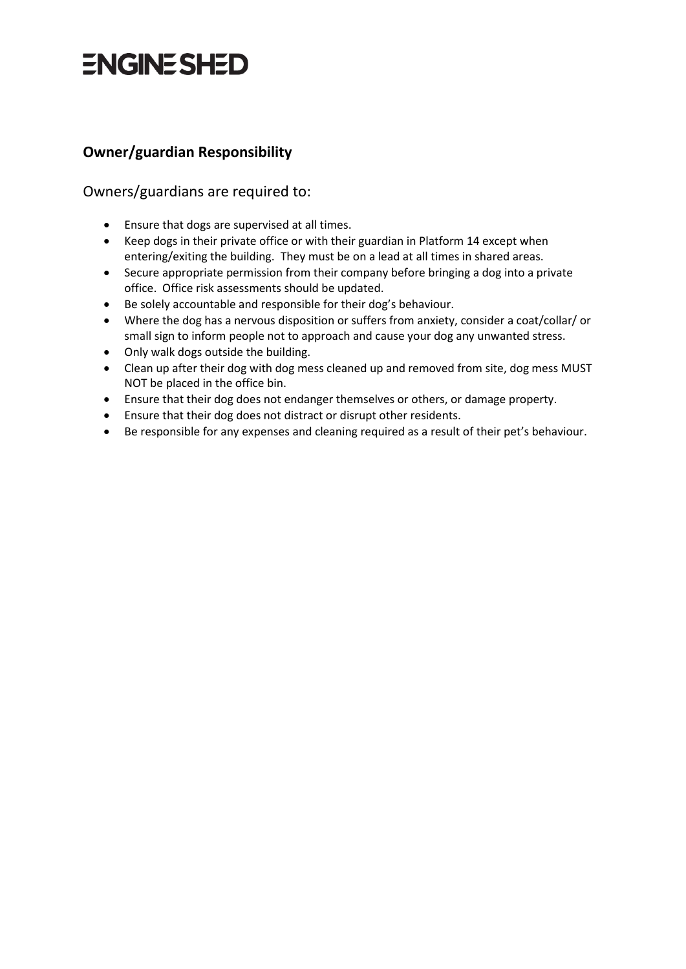## **ENGINESHED**

## **Owner/guardian Responsibility**

#### Owners/guardians are required to:

- Ensure that dogs are supervised at all times.
- Keep dogs in their private office or with their guardian in Platform 14 except when entering/exiting the building. They must be on a lead at all times in shared areas.
- Secure appropriate permission from their company before bringing a dog into a private office. Office risk assessments should be updated.
- Be solely accountable and responsible for their dog's behaviour.
- Where the dog has a nervous disposition or suffers from anxiety, consider a coat/collar/ or small sign to inform people not to approach and cause your dog any unwanted stress.
- Only walk dogs outside the building.
- Clean up after their dog with dog mess cleaned up and removed from site, dog mess MUST NOT be placed in the office bin.
- Ensure that their dog does not endanger themselves or others, or damage property.
- Ensure that their dog does not distract or disrupt other residents.
- Be responsible for any expenses and cleaning required as a result of their pet's behaviour.